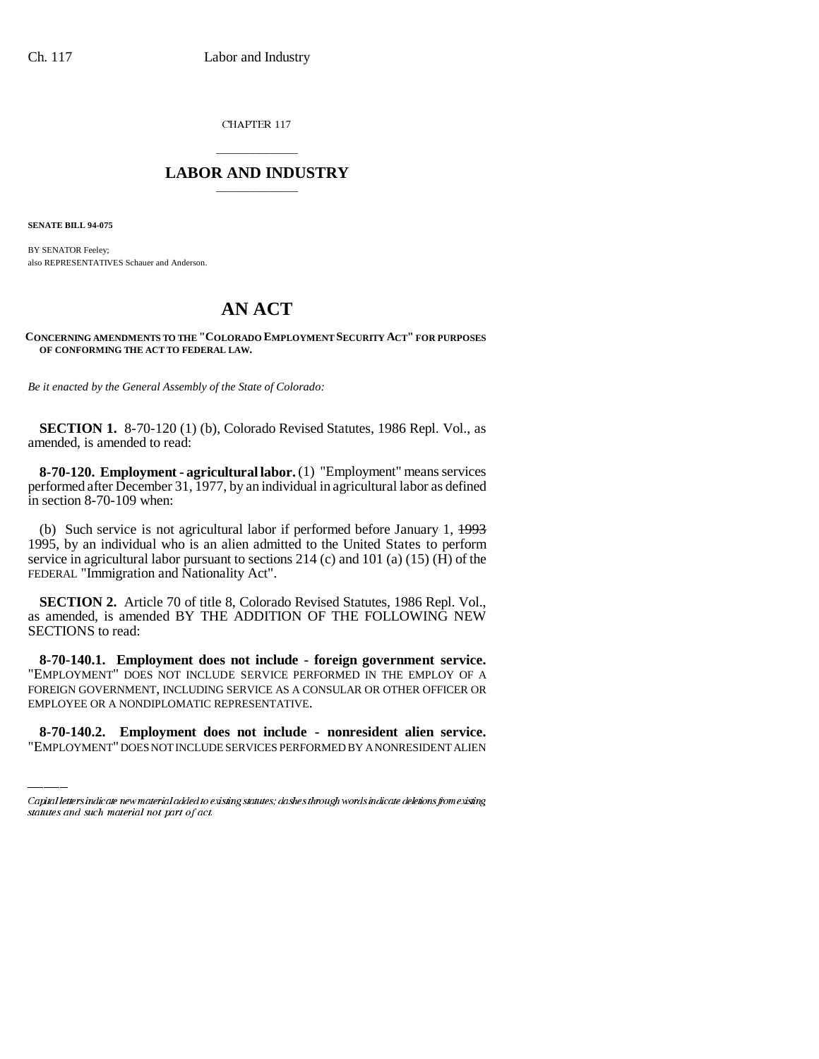CHAPTER 117

## \_\_\_\_\_\_\_\_\_\_\_\_\_\_\_ **LABOR AND INDUSTRY** \_\_\_\_\_\_\_\_\_\_\_\_\_\_\_

**SENATE BILL 94-075**

BY SENATOR Feeley; also REPRESENTATIVES Schauer and Anderson.

## **AN ACT**

**CONCERNING AMENDMENTS TO THE "COLORADO EMPLOYMENT SECURITY ACT" FOR PURPOSES OF CONFORMING THE ACT TO FEDERAL LAW.**

*Be it enacted by the General Assembly of the State of Colorado:*

**SECTION 1.** 8-70-120 (1) (b), Colorado Revised Statutes, 1986 Repl. Vol., as amended, is amended to read:

**8-70-120. Employment - agricultural labor.** (1) "Employment" means services performed after December 31, 1977, by an individual in agricultural labor as defined in section 8-70-109 when:

(b) Such service is not agricultural labor if performed before January 1, 1993 1995, by an individual who is an alien admitted to the United States to perform service in agricultural labor pursuant to sections 214 (c) and 101 (a) (15) ( $\hat{H}$ ) of the FEDERAL "Immigration and Nationality Act".

**SECTION 2.** Article 70 of title 8, Colorado Revised Statutes, 1986 Repl. Vol., as amended, is amended BY THE ADDITION OF THE FOLLOWING NEW SECTIONS to read:

FOREIGN GOVERNMENT, INCLUDING SERVICE AS A CONSULAR OR OTHER OFFICER OR **8-70-140.1. Employment does not include - foreign government service.** "EMPLOYMENT" DOES NOT INCLUDE SERVICE PERFORMED IN THE EMPLOY OF A EMPLOYEE OR A NONDIPLOMATIC REPRESENTATIVE.

**8-70-140.2. Employment does not include - nonresident alien service.** "EMPLOYMENT" DOES NOT INCLUDE SERVICES PERFORMED BY A NONRESIDENT ALIEN

Capital letters indicate new material added to existing statutes; dashes through words indicate deletions from existing statutes and such material not part of act.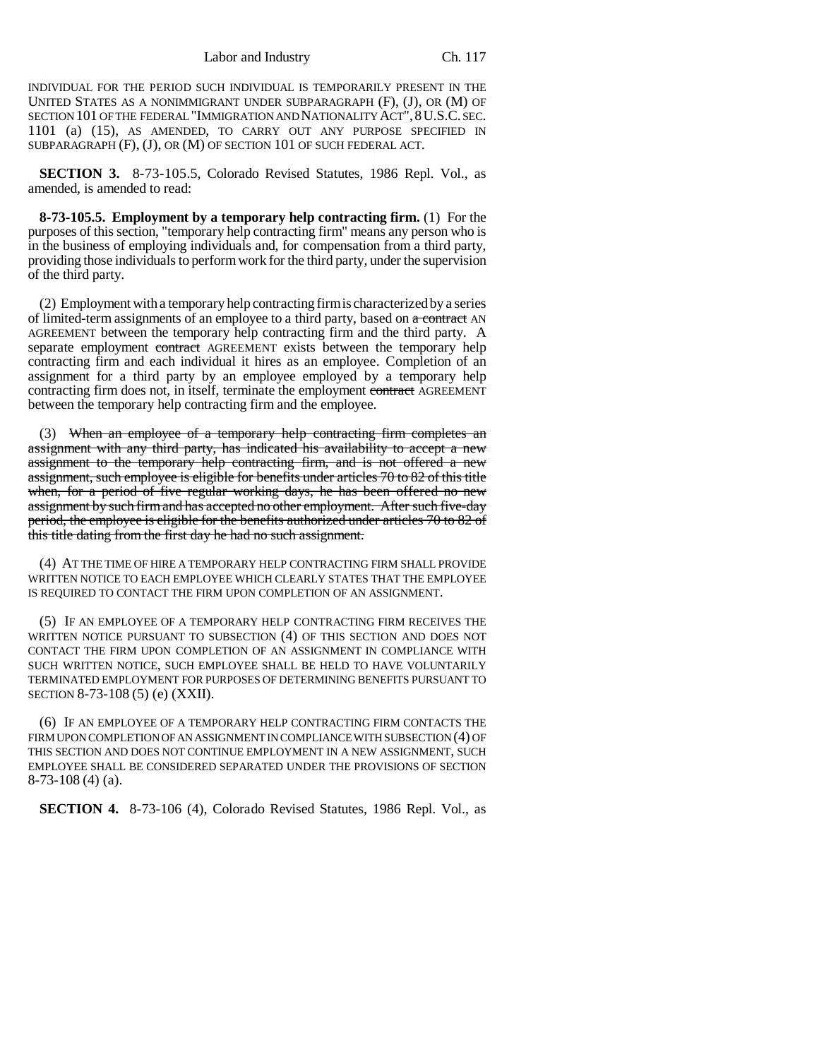INDIVIDUAL FOR THE PERIOD SUCH INDIVIDUAL IS TEMPORARILY PRESENT IN THE UNITED STATES AS A NONIMMIGRANT UNDER SUBPARAGRAPH (F), (J), OR (M) OF SECTION 101 OF THE FEDERAL "IMMIGRATION AND NATIONALITY ACT",8U.S.C. SEC. 1101 (a) (15), AS AMENDED, TO CARRY OUT ANY PURPOSE SPECIFIED IN SUBPARAGRAPH (F), (J), OR (M) OF SECTION 101 OF SUCH FEDERAL ACT.

**SECTION 3.** 8-73-105.5, Colorado Revised Statutes, 1986 Repl. Vol., as amended, is amended to read:

**8-73-105.5. Employment by a temporary help contracting firm.** (1) For the purposes of this section, "temporary help contracting firm" means any person who is in the business of employing individuals and, for compensation from a third party, providing those individuals to perform work for the third party, under the supervision of the third party.

(2) Employment with a temporary help contracting firm is characterized by a series of limited-term assignments of an employee to a third party, based on a contract AN AGREEMENT between the temporary help contracting firm and the third party. A separate employment contract AGREEMENT exists between the temporary help contracting firm and each individual it hires as an employee. Completion of an assignment for a third party by an employee employed by a temporary help contracting firm does not, in itself, terminate the employment contract AGREEMENT between the temporary help contracting firm and the employee.

(3) When an employee of a temporary help contracting firm completes an assignment with any third party, has indicated his availability to accept a new assignment to the temporary help contracting firm, and is not offered a new assignment, such employee is eligible for benefits under articles 70 to 82 of this title when, for a period of five regular working days, he has been offered no new assignment by such firm and has accepted no other employment. After such five-day period, the employee is eligible for the benefits authorized under articles 70 to 82 of this title dating from the first day he had no such assignment.

(4) AT THE TIME OF HIRE A TEMPORARY HELP CONTRACTING FIRM SHALL PROVIDE WRITTEN NOTICE TO EACH EMPLOYEE WHICH CLEARLY STATES THAT THE EMPLOYEE IS REQUIRED TO CONTACT THE FIRM UPON COMPLETION OF AN ASSIGNMENT.

(5) IF AN EMPLOYEE OF A TEMPORARY HELP CONTRACTING FIRM RECEIVES THE WRITTEN NOTICE PURSUANT TO SUBSECTION (4) OF THIS SECTION AND DOES NOT CONTACT THE FIRM UPON COMPLETION OF AN ASSIGNMENT IN COMPLIANCE WITH SUCH WRITTEN NOTICE, SUCH EMPLOYEE SHALL BE HELD TO HAVE VOLUNTARILY TERMINATED EMPLOYMENT FOR PURPOSES OF DETERMINING BENEFITS PURSUANT TO SECTION 8-73-108 (5) (e) (XXII).

(6) IF AN EMPLOYEE OF A TEMPORARY HELP CONTRACTING FIRM CONTACTS THE FIRM UPON COMPLETION OF AN ASSIGNMENT IN COMPLIANCE WITH SUBSECTION (4) OF THIS SECTION AND DOES NOT CONTINUE EMPLOYMENT IN A NEW ASSIGNMENT, SUCH EMPLOYEE SHALL BE CONSIDERED SEPARATED UNDER THE PROVISIONS OF SECTION 8-73-108 (4) (a).

**SECTION 4.** 8-73-106 (4), Colorado Revised Statutes, 1986 Repl. Vol., as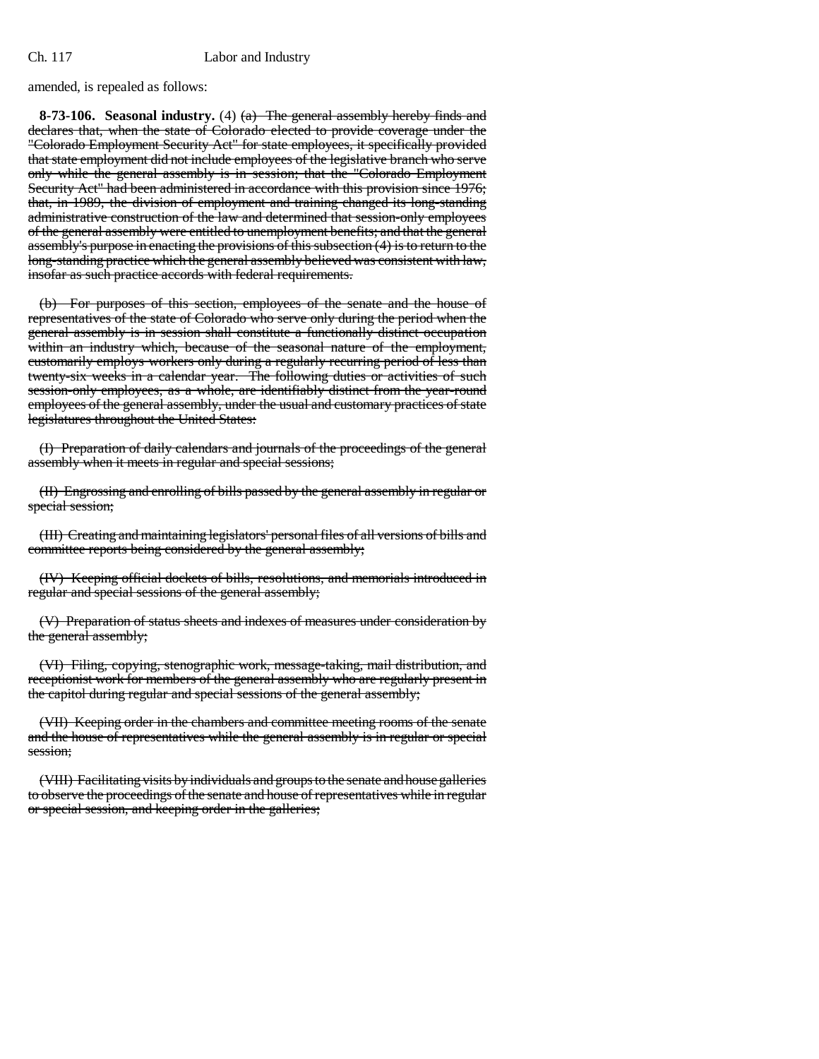## Ch. 117 Labor and Industry

amended, is repealed as follows:

**8-73-106. Seasonal industry.** (4) (a) The general assembly hereby finds and declares that, when the state of Colorado elected to provide coverage under the "Colorado Employment Security Act" for state employees, it specifically provided that state employment did not include employees of the legislative branch who serve only while the general assembly is in session; that the "Colorado Employment Security Act" had been administered in accordance with this provision since 1976; that, in 1989, the division of employment and training changed its long-standing administrative construction of the law and determined that session-only employees of the general assembly were entitled to unemployment benefits; and that the general assembly's purpose in enacting the provisions of this subsection (4) is to return to the long-standing practice which the general assembly believed was consistent with law, insofar as such practice accords with federal requirements.

(b) For purposes of this section, employees of the senate and the house of representatives of the state of Colorado who serve only during the period when the general assembly is in session shall constitute a functionally distinct occupation within an industry which, because of the seasonal nature of the employment, customarily employs workers only during a regularly recurring period of less than twenty-six weeks in a calendar year. The following duties or activities of such session-only employees, as a whole, are identifiably distinct from the year-round employees of the general assembly, under the usual and customary practices of state legislatures throughout the United States:

(I) Preparation of daily calendars and journals of the proceedings of the general assembly when it meets in regular and special sessions;

(II) Engrossing and enrolling of bills passed by the general assembly in regular or special session;

(III) Creating and maintaining legislators' personal files of all versions of bills and committee reports being considered by the general assembly;

(IV) Keeping official dockets of bills, resolutions, and memorials introduced in regular and special sessions of the general assembly;

(V) Preparation of status sheets and indexes of measures under consideration by the general assembly;

(VI) Filing, copying, stenographic work, message-taking, mail distribution, and receptionist work for members of the general assembly who are regularly present in the capitol during regular and special sessions of the general assembly;

(VII) Keeping order in the chambers and committee meeting rooms of the senate and the house of representatives while the general assembly is in regular or special session;

(VIII) Facilitating visits by individuals and groups to the senate and house galleries to observe the proceedings of the senate and house of representatives while in regular or special session, and keeping order in the galleries;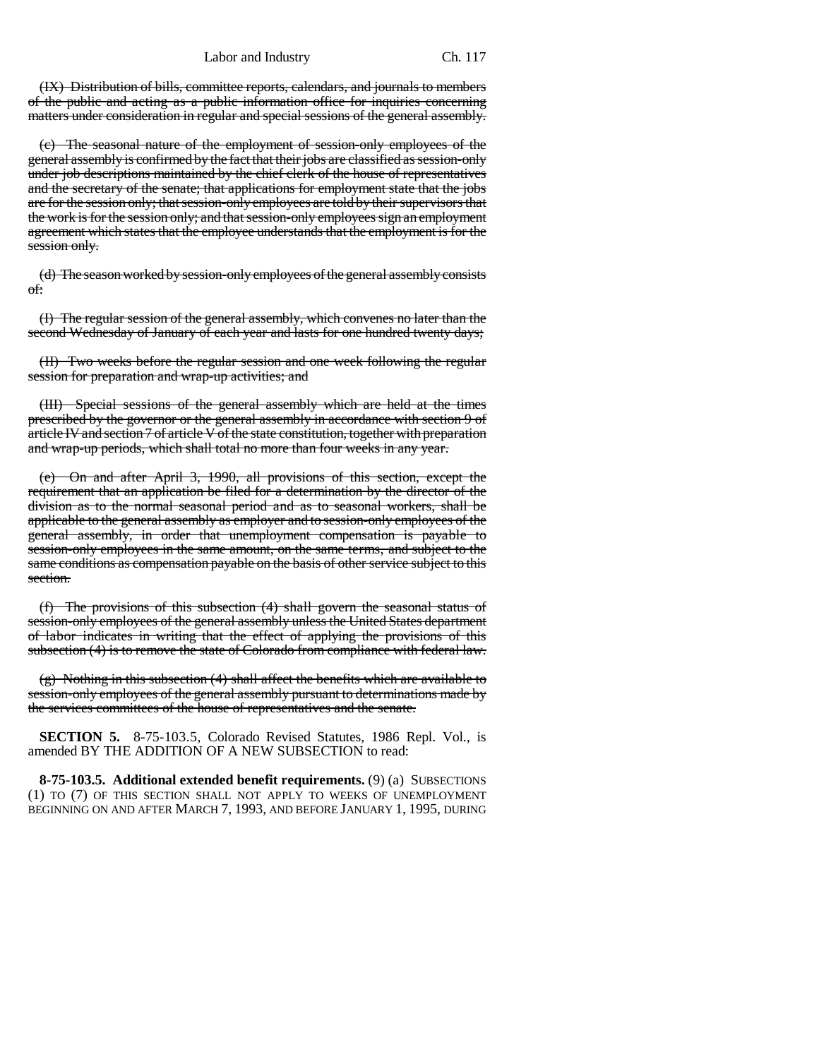## Labor and Industry Ch. 117

(IX) Distribution of bills, committee reports, calendars, and journals to members of the public and acting as a public information office for inquiries concerning matters under consideration in regular and special sessions of the general assembly.

(c) The seasonal nature of the employment of session-only employees of the general assembly is confirmed by the fact that their jobs are classified as session-only under job descriptions maintained by the chief clerk of the house of representatives and the secretary of the senate; that applications for employment state that the jobs are for the session only; that session-only employees are told by their supervisors that the work is for the session only; and that session-only employees sign an employment agreement which states that the employee understands that the employment is for the session only.

(d) The season worked by session-only employees of the general assembly consists of:

(I) The regular session of the general assembly, which convenes no later than the second Wednesday of January of each year and lasts for one hundred twenty days;

(II) Two weeks before the regular session and one week following the regular session for preparation and wrap-up activities; and

(III) Special sessions of the general assembly which are held at the times prescribed by the governor or the general assembly in accordance with section 9 of article IV and section 7 of article V of the state constitution, together with preparation and wrap-up periods, which shall total no more than four weeks in any year.

(e) On and after April 3, 1990, all provisions of this section, except the requirement that an application be filed for a determination by the director of the division as to the normal seasonal period and as to seasonal workers, shall be applicable to the general assembly as employer and to session-only employees of the general assembly, in order that unemployment compensation is payable to session-only employees in the same amount, on the same terms, and subject to the same conditions as compensation payable on the basis of other service subject to this section.

(f) The provisions of this subsection (4) shall govern the seasonal status of session-only employees of the general assembly unless the United States department of labor indicates in writing that the effect of applying the provisions of this subsection (4) is to remove the state of Colorado from compliance with federal law.

(g) Nothing in this subsection (4) shall affect the benefits which are available to session-only employees of the general assembly pursuant to determinations made by the services committees of the house of representatives and the senate.

**SECTION 5.** 8-75-103.5, Colorado Revised Statutes, 1986 Repl. Vol., is amended BY THE ADDITION OF A NEW SUBSECTION to read:

**8-75-103.5.** Additional extended benefit requirements. (9) (a) SUBSECTIONS (1) TO (7) OF THIS SECTION SHALL NOT APPLY TO WEEKS OF UNEMPLOYMENT BEGINNING ON AND AFTER MARCH 7, 1993, AND BEFORE JANUARY 1, 1995, DURING